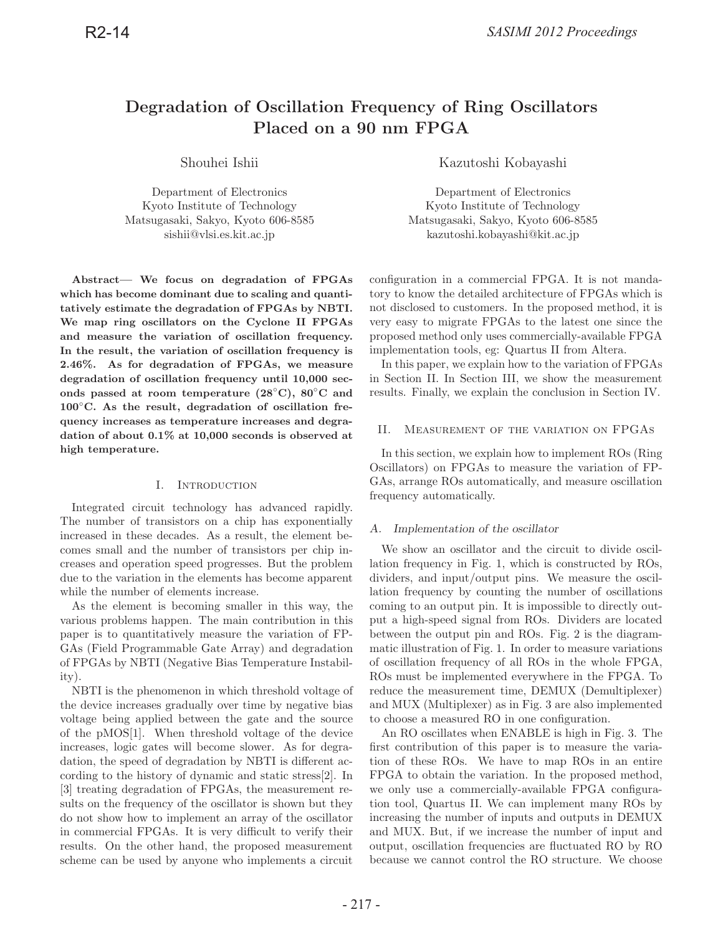# **Degradation of Oscillation Frequency of Ring Oscillators Placed on a 90 nm FPGA**

Department of Electronics Department of Electronics Kyoto Institute of Technology Kyoto Institute of Technology Matsugasaki, Sakyo, Kyoto 606-8585 Matsugasaki, Sakyo, Kyoto 606-8585

**Abstract— We focus on degradation of FPGAs which has become dominant due to scaling and quantitatively estimate the degradation of FPGAs by NBTI. We map ring oscillators on the Cyclone II FPGAs and measure the variation of oscillation frequency. In the result, the variation of oscillation frequency is 2.46%. As for degradation of FPGAs, we measure degradation of oscillation frequency until 10,000 seconds passed at room temperature (28**◦**C), 80**◦**C and 100**◦**C. As the result, degradation of oscillation frequency increases as temperature increases and degradation of about 0.1% at 10,000 seconds is observed at high temperature.**

# I. Introduction

Integrated circuit technology has advanced rapidly. The number of transistors on a chip has exponentially increased in these decades. As a result, the element becomes small and the number of transistors per chip increases and operation speed progresses. But the problem due to the variation in the elements has become apparent while the number of elements increase.

As the element is becoming smaller in this way, the various problems happen. The main contribution in this paper is to quantitatively measure the variation of FP-GAs (Field Programmable Gate Array) and degradation of FPGAs by NBTI (Negative Bias Temperature Instability).

NBTI is the phenomenon in which threshold voltage of the device increases gradually over time by negative bias voltage being applied between the gate and the source of the pMOS[1]. When threshold voltage of the device increases, logic gates will become slower. As for degradation, the speed of degradation by NBTI is different according to the history of dynamic and static stress[2]. In [3] treating degradation of FPGAs, the measurement results on the frequency of the oscillator is shown but they do not show how to implement an array of the oscillator in commercial FPGAs. It is very difficult to verify their results. On the other hand, the proposed measurement scheme can be used by anyone who implements a circuit

Shouhei Ishii Kazutoshi Kobayashi

sishii@vlsi.es.kit.ac.jp kazutoshi.kobayashi@kit.ac.jp

configuration in a commercial FPGA. It is not mandatory to know the detailed architecture of FPGAs which is not disclosed to customers. In the proposed method, it is very easy to migrate FPGAs to the latest one since the proposed method only uses commercially-available FPGA implementation tools, eg: Quartus II from Altera.

In this paper, we explain how to the variation of FPGAs in Section II. In Section III, we show the measurement results. Finally, we explain the conclusion in Section IV.

## II. Measurement of the variation on FPGAs

In this section, we explain how to implement ROs (Ring Oscillators) on FPGAs to measure the variation of FP-GAs, arrange ROs automatically, and measure oscillation frequency automatically.

# *A. Implementation of the oscillator*

We show an oscillator and the circuit to divide oscillation frequency in Fig. 1, which is constructed by ROs, dividers, and input/output pins. We measure the oscillation frequency by counting the number of oscillations coming to an output pin. It is impossible to directly output a high-speed signal from ROs. Dividers are located between the output pin and ROs. Fig. 2 is the diagrammatic illustration of Fig. 1. In order to measure variations of oscillation frequency of all ROs in the whole FPGA, ROs must be implemented everywhere in the FPGA. To reduce the measurement time, DEMUX (Demultiplexer) and MUX (Multiplexer) as in Fig. 3 are also implemented to choose a measured RO in one configuration.

An RO oscillates when ENABLE is high in Fig. 3. The first contribution of this paper is to measure the variation of these ROs. We have to map ROs in an entire FPGA to obtain the variation. In the proposed method, we only use a commercially-available FPGA configuration tool, Quartus II. We can implement many ROs by increasing the number of inputs and outputs in DEMUX and MUX. But, if we increase the number of input and output, oscillation frequencies are fluctuated RO by RO because we cannot control the RO structure. We choose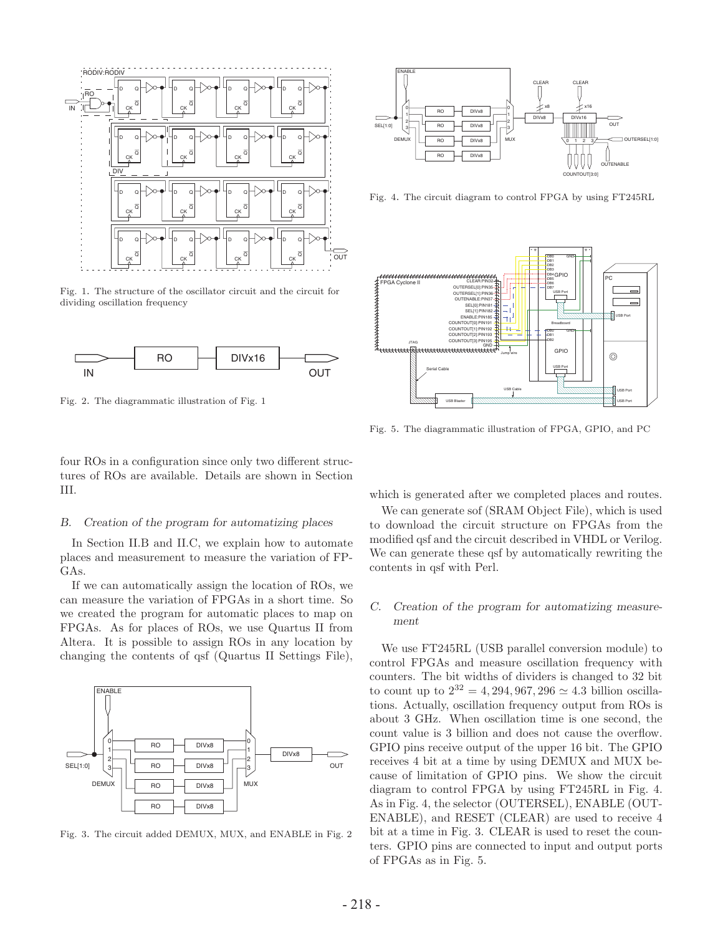

Fig. 1. The structure of the oscillator circuit and the circuit for dividing oscillation frequency



Fig. 2. The diagrammatic illustration of Fig. 1

four ROs in a configuration since only two different structures of ROs are available. Details are shown in Section III.

#### *B. Creation of the program for automatizing places*

In Section II.B and II.C, we explain how to automate places and measurement to measure the variation of FP-GAs.

If we can automatically assign the location of ROs, we can measure the variation of FPGAs in a short time. So we created the program for automatic places to map on FPGAs. As for places of ROs, we use Quartus II from Altera. It is possible to assign ROs in any location by changing the contents of qsf (Quartus II Settings File),



Fig. 3. The circuit added DEMUX, MUX, and ENABLE in Fig. 2



Fig. 4. The circuit diagram to control FPGA by using FT245RL



Fig. 5. The diagrammatic illustration of FPGA, GPIO, and PC

which is generated after we completed places and routes.

We can generate sof (SRAM Object File), which is used to download the circuit structure on FPGAs from the modified qsf and the circuit described in VHDL or Verilog. We can generate these qsf by automatically rewriting the contents in qsf with Perl.

## *C. Creation of the program for automatizing measurement*

We use FT245RL (USB parallel conversion module) to control FPGAs and measure oscillation frequency with counters. The bit widths of dividers is changed to 32 bit to count up to  $2^{32} = 4,294,967,296 \simeq 4.3$  billion oscillations. Actually, oscillation frequency output from ROs is about 3 GHz. When oscillation time is one second, the count value is 3 billion and does not cause the overflow. GPIO pins receive output of the upper 16 bit. The GPIO receives 4 bit at a time by using DEMUX and MUX because of limitation of GPIO pins. We show the circuit diagram to control FPGA by using FT245RL in Fig. 4. As in Fig. 4, the selector (OUTERSEL), ENABLE (OUT-ENABLE), and RESET (CLEAR) are used to receive 4 bit at a time in Fig. 3. CLEAR is used to reset the counters. GPIO pins are connected to input and output ports of FPGAs as in Fig. 5.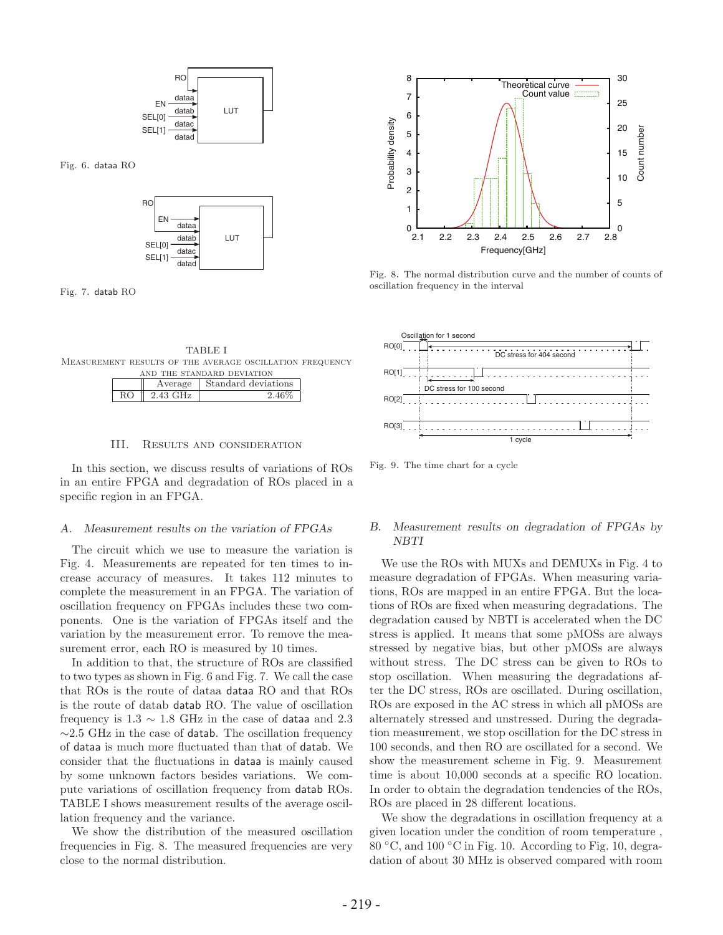

Fig. 6. dataa RO



Fig. 7. datab RO



| Average  | Standard deviations |
|----------|---------------------|
| 2.43 GHz |                     |

### III. Results and consideration

In this section, we discuss results of variations of ROs in an entire FPGA and degradation of ROs placed in a specific region in an FPGA.

#### *A. Measurement results on the variation of FPGAs*

The circuit which we use to measure the variation is Fig. 4. Measurements are repeated for ten times to increase accuracy of measures. It takes 112 minutes to complete the measurement in an FPGA. The variation of oscillation frequency on FPGAs includes these two components. One is the variation of FPGAs itself and the variation by the measurement error. To remove the measurement error, each RO is measured by 10 times.

In addition to that, the structure of ROs are classified to two types as shown in Fig. 6 and Fig. 7. We call the case that ROs is the route of dataa dataa RO and that ROs is the route of datab datab RO. The value of oscillation frequency is  $1.3 \sim 1.8$  GHz in the case of dataa and 2.3  $\sim$ 2.5 GHz in the case of datab. The oscillation frequency of dataa is much more fluctuated than that of datab. We consider that the fluctuations in dataa is mainly caused by some unknown factors besides variations. We compute variations of oscillation frequency from datab ROs. TABLE I shows measurement results of the average oscillation frequency and the variance.

We show the distribution of the measured oscillation frequencies in Fig. 8. The measured frequencies are very close to the normal distribution.



Fig. 8. The normal distribution curve and the number of counts of oscillation frequency in the interval



Fig. 9. The time chart for a cycle

# *B. Measurement results on degradation of FPGAs by NBTI*

We use the ROs with MUXs and DEMUXs in Fig. 4 to measure degradation of FPGAs. When measuring variations, ROs are mapped in an entire FPGA. But the locations of ROs are fixed when measuring degradations. The degradation caused by NBTI is accelerated when the DC stress is applied. It means that some pMOSs are always stressed by negative bias, but other pMOSs are always without stress. The DC stress can be given to ROs to stop oscillation. When measuring the degradations after the DC stress, ROs are oscillated. During oscillation, ROs are exposed in the AC stress in which all pMOSs are alternately stressed and unstressed. During the degradation measurement, we stop oscillation for the DC stress in 100 seconds, and then RO are oscillated for a second. We show the measurement scheme in Fig. 9. Measurement time is about 10,000 seconds at a specific RO location. In order to obtain the degradation tendencies of the ROs, ROs are placed in 28 different locations.

We show the degradations in oscillation frequency at a given location under the condition of room temperature , 80 ◦C, and 100 ◦C in Fig. 10. According to Fig. 10, degradation of about 30 MHz is observed compared with room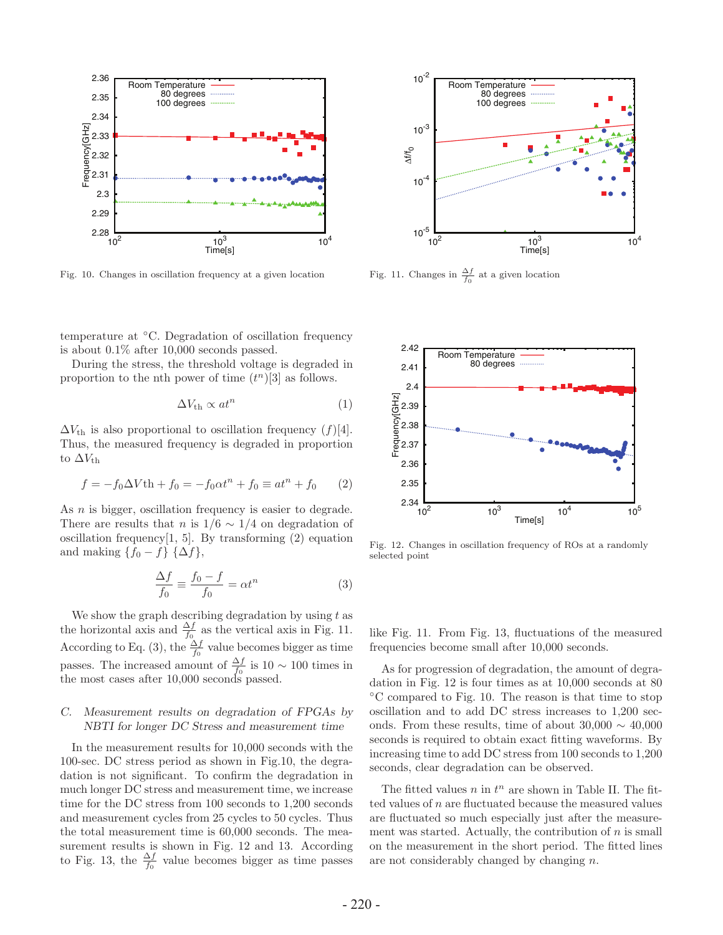

Fig. 10. Changes in oscillation frequency at a given location



During the stress, the threshold voltage is degraded in proportion to the nth power of time  $(t^n)[3]$  as follows.

$$
\Delta V_{\rm th} \propto at^n \tag{1}
$$

 $\Delta V_{\text{th}}$  is also proportional to oscillation frequency (f)[4]. Thus, the measured frequency is degraded in proportion to  $\Delta V_{\text{th}}$ 

$$
f = -f_0 \Delta V \text{th} + f_0 = -f_0 \alpha t^n + f_0 \equiv \alpha t^n + f_0 \qquad (2)
$$

As *n* is bigger, oscillation frequency is easier to degrade. There are results that n is  $1/6 \sim 1/4$  on degradation of oscillation frequency $[1, 5]$ . By transforming  $(2)$  equation and making  $\{f_0 - f\}$   $\{\Delta f\},\$ 

$$
\frac{\Delta f}{f_0} \equiv \frac{f_0 - f}{f_0} = \alpha t^n \tag{3}
$$

We show the graph describing degradation by using  $t$  as the horizontal axis and  $\frac{\Delta f}{f_0}$  as the vertical axis in Fig. 11. According to Eq. (3), the  $\frac{\Delta f}{f_0}$  value becomes bigger as time passes. The increased amount of  $\frac{\Delta f}{f_0}$  is 10 ~ 100 times in the most cases after 10,000 seconds passed.

# *C. Measurement results on degradation of FPGAs by NBTI for longer DC Stress and measurement time*

In the measurement results for 10,000 seconds with the 100-sec. DC stress period as shown in Fig.10, the degradation is not significant. To confirm the degradation in much longer DC stress and measurement time, we increase time for the DC stress from 100 seconds to 1,200 seconds and measurement cycles from 25 cycles to 50 cycles. Thus the total measurement time is 60,000 seconds. The measurement results is shown in Fig. 12 and 13. According to Fig. 13, the  $\frac{\Delta f}{f_0}$  value becomes bigger as time passes



Fig. 11. Changes in  $\frac{\Delta f}{f_0}$  at a given location



Fig. 12. Changes in oscillation frequency of ROs at a randomly selected point

like Fig. 11. From Fig. 13, fluctuations of the measured frequencies become small after 10,000 seconds.

As for progression of degradation, the amount of degradation in Fig. 12 is four times as at 10,000 seconds at 80 ◦C compared to Fig. 10. The reason is that time to stop oscillation and to add DC stress increases to 1,200 seconds. From these results, time of about  $30,000 \sim 40,000$ seconds is required to obtain exact fitting waveforms. By increasing time to add DC stress from 100 seconds to 1,200 seconds, clear degradation can be observed.

The fitted values n in  $t^n$  are shown in Table II. The fitted values of  $n$  are fluctuated because the measured values are fluctuated so much especially just after the measurement was started. Actually, the contribution of  $n$  is small on the measurement in the short period. The fitted lines are not considerably changed by changing n.